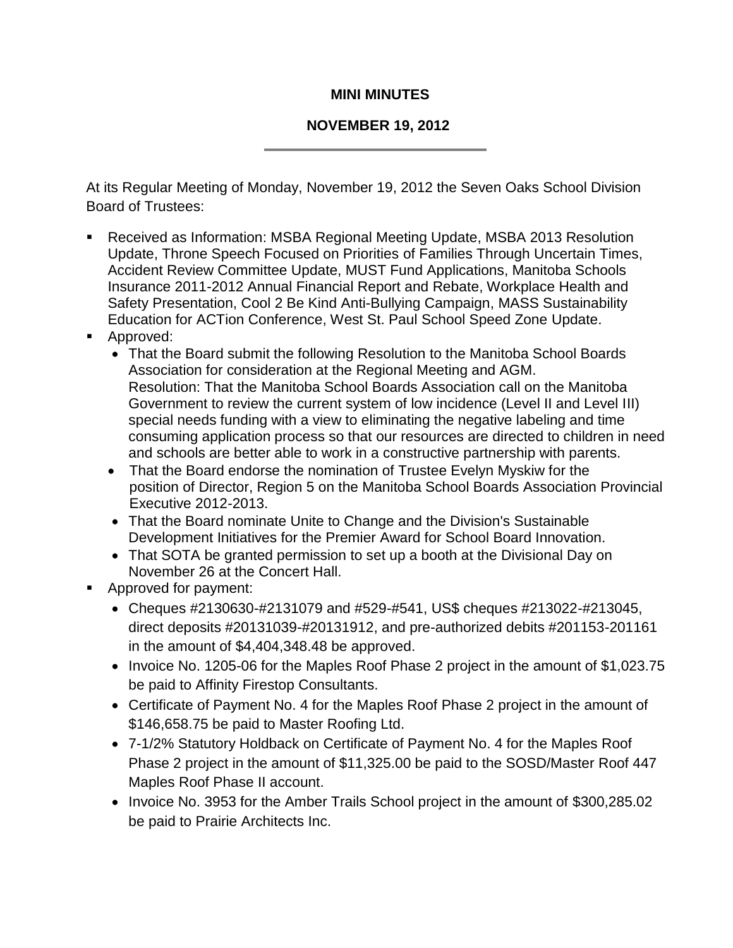## **MINI MINUTES**

## **NOVEMBER 19, 2012**

At its Regular Meeting of Monday, November 19, 2012 the Seven Oaks School Division Board of Trustees:

- Received as Information: MSBA Regional Meeting Update, MSBA 2013 Resolution Update, Throne Speech Focused on Priorities of Families Through Uncertain Times, Accident Review Committee Update, MUST Fund Applications, Manitoba Schools Insurance 2011-2012 Annual Financial Report and Rebate, Workplace Health and Safety Presentation, Cool 2 Be Kind Anti-Bullying Campaign, MASS Sustainability Education for ACTion Conference, West St. Paul School Speed Zone Update.
- **Approved:** 
	- That the Board submit the following Resolution to the Manitoba School Boards Association for consideration at the Regional Meeting and AGM. Resolution: That the Manitoba School Boards Association call on the Manitoba Government to review the current system of low incidence (Level II and Level III) special needs funding with a view to eliminating the negative labeling and time consuming application process so that our resources are directed to children in need and schools are better able to work in a constructive partnership with parents.
	- That the Board endorse the nomination of Trustee Evelyn Myskiw for the position of Director, Region 5 on the Manitoba School Boards Association Provincial Executive 2012-2013.
	- That the Board nominate Unite to Change and the Division's Sustainable Development Initiatives for the Premier Award for School Board Innovation.
	- That SOTA be granted permission to set up a booth at the Divisional Day on November 26 at the Concert Hall.
- **Approved for payment:** 
	- Cheques #2130630-#2131079 and #529-#541, US\$ cheques #213022-#213045, direct deposits #20131039-#20131912, and pre-authorized debits #201153-201161 in the amount of \$4,404,348.48 be approved.
	- Invoice No. 1205-06 for the Maples Roof Phase 2 project in the amount of \$1,023.75 be paid to Affinity Firestop Consultants.
	- Certificate of Payment No. 4 for the Maples Roof Phase 2 project in the amount of \$146,658.75 be paid to Master Roofing Ltd.
	- 7-1/2% Statutory Holdback on Certificate of Payment No. 4 for the Maples Roof Phase 2 project in the amount of \$11,325.00 be paid to the SOSD/Master Roof 447 Maples Roof Phase II account.
	- Invoice No. 3953 for the Amber Trails School project in the amount of \$300,285.02 be paid to Prairie Architects Inc.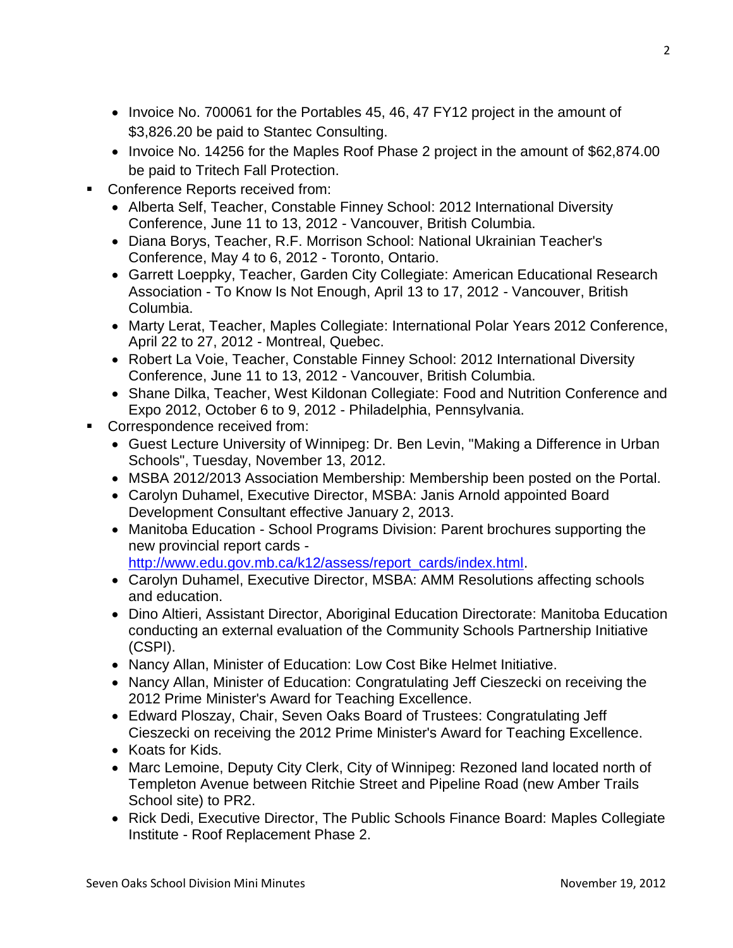- Invoice No. 700061 for the Portables 45, 46, 47 FY12 project in the amount of \$3,826.20 be paid to Stantec Consulting.
- Invoice No. 14256 for the Maples Roof Phase 2 project in the amount of \$62,874.00 be paid to Tritech Fall Protection.
- **Conference Reports received from:** 
	- Alberta Self, Teacher, Constable Finney School: 2012 International Diversity Conference, June 11 to 13, 2012 - Vancouver, British Columbia.
	- Diana Borys, Teacher, R.F. Morrison School: National Ukrainian Teacher's Conference, May 4 to 6, 2012 - Toronto, Ontario.
	- Garrett Loeppky, Teacher, Garden City Collegiate: American Educational Research Association - To Know Is Not Enough, April 13 to 17, 2012 - Vancouver, British Columbia.
	- Marty Lerat, Teacher, Maples Collegiate: International Polar Years 2012 Conference, April 22 to 27, 2012 - Montreal, Quebec.
	- Robert La Voie, Teacher, Constable Finney School: 2012 International Diversity Conference, June 11 to 13, 2012 - Vancouver, British Columbia.
	- Shane Dilka, Teacher, West Kildonan Collegiate: Food and Nutrition Conference and Expo 2012, October 6 to 9, 2012 - Philadelphia, Pennsylvania.
- Correspondence received from:
	- Guest Lecture University of Winnipeg: Dr. Ben Levin, "Making a Difference in Urban Schools", Tuesday, November 13, 2012.
	- MSBA 2012/2013 Association Membership: Membership been posted on the Portal.
	- Carolyn Duhamel, Executive Director, MSBA: Janis Arnold appointed Board Development Consultant effective January 2, 2013.
	- Manitoba Education School Programs Division: Parent brochures supporting the new provincial report cards [http://www.edu.gov.mb.ca/k12/assess/report\\_cards/index.html.](http://www.edu.gov.mb.ca/k12/assess/report_cards/index.html)
	- Carolyn Duhamel, Executive Director, MSBA: AMM Resolutions affecting schools and education.
	- Dino Altieri, Assistant Director, Aboriginal Education Directorate: Manitoba Education conducting an external evaluation of the Community Schools Partnership Initiative (CSPI).
	- Nancy Allan, Minister of Education: Low Cost Bike Helmet Initiative.
	- Nancy Allan, Minister of Education: Congratulating Jeff Cieszecki on receiving the 2012 Prime Minister's Award for Teaching Excellence.
	- Edward Ploszay, Chair, Seven Oaks Board of Trustees: Congratulating Jeff Cieszecki on receiving the 2012 Prime Minister's Award for Teaching Excellence.
	- Koats for Kids.
	- Marc Lemoine, Deputy City Clerk, City of Winnipeg: Rezoned land located north of Templeton Avenue between Ritchie Street and Pipeline Road (new Amber Trails School site) to PR2.
	- Rick Dedi, Executive Director, The Public Schools Finance Board: Maples Collegiate Institute - Roof Replacement Phase 2.